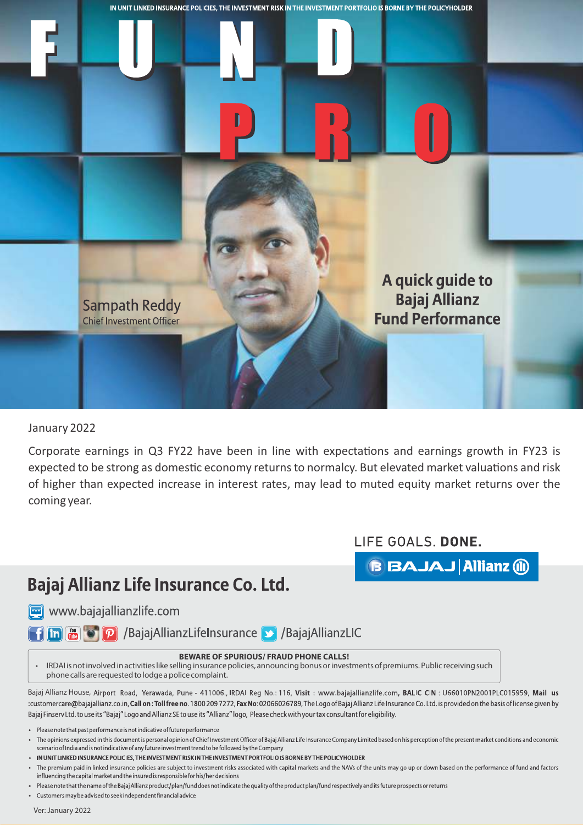

January 2022

Corporate earnings in Q3 FY22 have been in line with expectations and earnings growth in FY23 is expected to be strong as domestic economy returns to normalcy. But elevated market valuations and risk of higher than expected increase in interest rates, may lead to muted equity market returns over the coming year.

LIFE GOALS. DONE.

**BBAJAJ Allianz (ii)** 

## Bajaj Allianz Life Insurance Co. Ltd.

www.bajajallianzlife.com

**The Company of P** /BajajAllianzLifeInsurance D /BajajAllianzLIC

## **BEWARE OF SPURIOUS/ FRAUD PHONE CALLS!**

 IRDAI is not involved in activities like selling insurance policies, announcing bonus or investments of premiums. Public receiving such phone calls are requested to lodge a police complaint.

Bajaj Allianz House, Airport Road, Yerawada, Pune - 411006., IRDAI Reg No.: 116, Visit: www.bajajallianzlife.com, BALIC CIN: U66010PN2001PLC015959, Mail us :customercare@bajajallianz.co.in, Call on: Toll free no. 1800 2097272, Fax No: 02066026789, The Logo of Bajaj Allianz Life Insurance Co. Ltd. is provided on the basis of license given by Bajaj Finsery Ltd. to use its "Bajaj" Logo and Allianz SE to use its "Allianz" logo, Please check with your tax consultant for eligibility.

- Please note that past performance is not indicative of future performance
- The opinions expressed in this document is personal opinion of Chief Investment Officer of Bajaj Allianz Life Insurance Company Limited based on his perception of the present market conditions and economic scenario of India and is not indicative of any future investment trend to be followed by the Company
- IN UNIT LINKED INSURANCE POLICIES, THE INVESTMENT RISK IN THE INVESTMENT PORTFOLIO IS BORNE BY THE POLICYHOLDER

The premium paid in linked insurance policies are subject to investment risks associated with capital markets and the NAVs of the units may go up or down based on the performance of fund and factors influencing the capital market and the insured is responsible for his/her decisions

- Please note that the name of the Bajaj Allianz product/plan/fund does not indicate the quality of the product plan/fund respectively and its future prospects or returns
- Customers may be advised to seek independent financial advice

Ver: January 2022